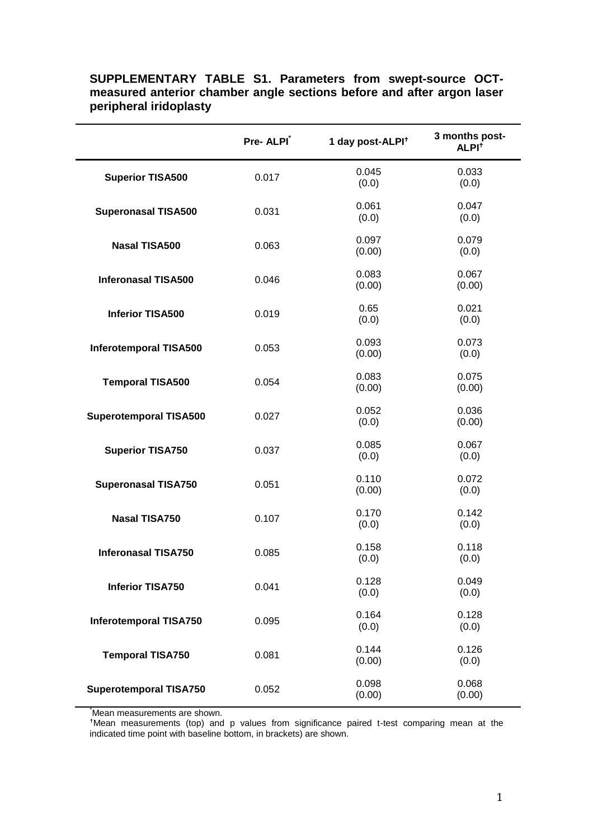|                               | Pre-ALPI <sup>*</sup> | 1 day post-ALPI <sup>t</sup> | 3 months post-<br>ALPI <sup>t</sup> |
|-------------------------------|-----------------------|------------------------------|-------------------------------------|
| <b>Superior TISA500</b>       | 0.017                 | 0.045<br>(0.0)               | 0.033<br>(0.0)                      |
| <b>Superonasal TISA500</b>    | 0.031                 | 0.061<br>(0.0)               | 0.047<br>(0.0)                      |
| <b>Nasal TISA500</b>          | 0.063                 | 0.097<br>(0.00)              | 0.079<br>(0.0)                      |
| <b>Inferonasal TISA500</b>    | 0.046                 | 0.083<br>(0.00)              | 0.067<br>(0.00)                     |
| <b>Inferior TISA500</b>       | 0.019                 | 0.65<br>(0.0)                | 0.021<br>(0.0)                      |
| <b>Inferotemporal TISA500</b> | 0.053                 | 0.093<br>(0.00)              | 0.073<br>(0.0)                      |
| <b>Temporal TISA500</b>       | 0.054                 | 0.083<br>(0.00)              | 0.075<br>(0.00)                     |
| <b>Superotemporal TISA500</b> | 0.027                 | 0.052<br>(0.0)               | 0.036<br>(0.00)                     |
| <b>Superior TISA750</b>       | 0.037                 | 0.085<br>(0.0)               | 0.067<br>(0.0)                      |
| <b>Superonasal TISA750</b>    | 0.051                 | 0.110<br>(0.00)              | 0.072<br>(0.0)                      |
| <b>Nasal TISA750</b>          | 0.107                 | 0.170<br>(0.0)               | 0.142<br>(0.0)                      |
| <b>Inferonasal TISA750</b>    | 0.085                 | 0.158<br>(0.0)               | 0.118<br>(0.0)                      |
| <b>Inferior TISA750</b>       | 0.041                 | 0.128<br>(0.0)               | 0.049<br>(0.0)                      |
| <b>Inferotemporal TISA750</b> | 0.095                 | 0.164<br>(0.0)               | 0.128<br>(0.0)                      |
| <b>Temporal TISA750</b>       | 0.081                 | 0.144<br>(0.00)              | 0.126<br>(0.0)                      |
| <b>Superotemporal TISA750</b> | 0.052                 | 0.098<br>(0.00)              | 0.068<br>(0.00)                     |

## **SUPPLEMENTARY TABLE S1. Parameters from swept-source OCTmeasured anterior chamber angle sections before and after argon laser peripheral iridoplasty**

Mean measurements are shown.

<sup>+</sup>Mean measurements (top) and p values from significance paired t-test comparing mean at the indicated time point with baseline bottom, in brackets) are shown.